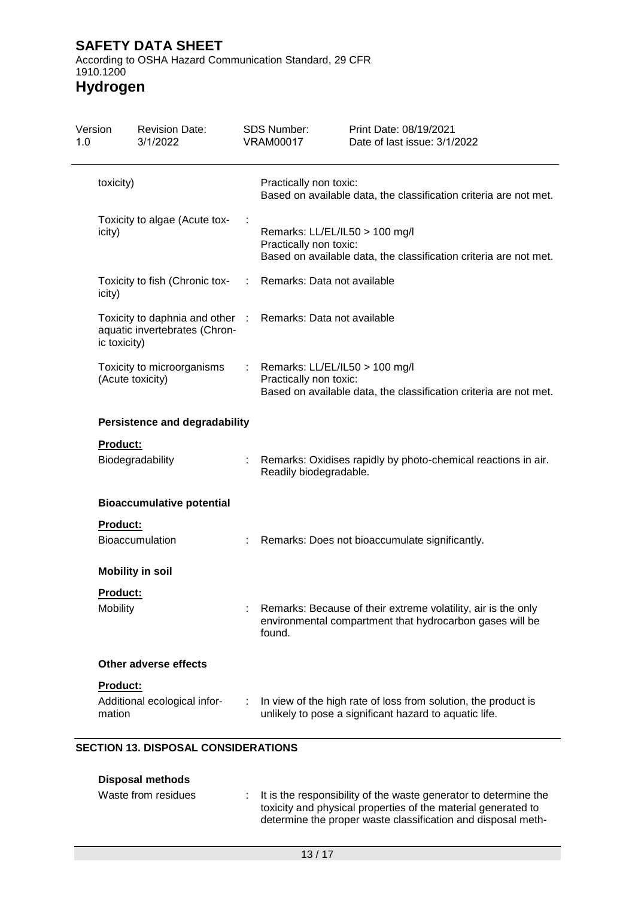**SAFETY DATA SHEET**

According to OSHA Hazard Communication Standard, 29 CFR 1910.1200

**Hydrogen**

|                                         | <b>Revision Date:</b><br>04/01/2022                              |   | SDS Number:<br><b>VRAM00017</b>                                                                                               | Print Date: 04/01/2022<br>Date of last issue: 04/01/2022                                                                  |  |
|-----------------------------------------|------------------------------------------------------------------|---|-------------------------------------------------------------------------------------------------------------------------------|---------------------------------------------------------------------------------------------------------------------------|--|
| toxicity)                               |                                                                  |   | Practically non toxic:<br>Based on available data, the classification criteria are not met.                                   |                                                                                                                           |  |
| Toxicity to algae (Acute tox-<br>icity) |                                                                  |   | Remarks: LL/EL/IL50 > 100 mg/l<br>Practically non toxic:<br>Based on available data, the classification criteria are not met. |                                                                                                                           |  |
| icity)                                  | Toxicity to fish (Chronic tox-                                   | ÷ | Remarks: Data not available                                                                                                   |                                                                                                                           |  |
| ic toxicity)                            | Toxicity to daphnia and other :<br>aquatic invertebrates (Chron- |   | Remarks: Data not available                                                                                                   |                                                                                                                           |  |
|                                         | Toxicity to microorganisms<br>(Acute toxicity)                   |   | Remarks: LL/EL/IL50 > 100 mg/l<br>Practically non toxic:<br>Based on available data, the classification criteria are not met. |                                                                                                                           |  |
|                                         | <b>Persistence and degradability</b>                             |   |                                                                                                                               |                                                                                                                           |  |
| <b>Product:</b>                         | Biodegradability                                                 |   | Remarks: Oxidises rapidly by photo-chemical reactions in air.<br>Readily biodegradable.                                       |                                                                                                                           |  |
|                                         |                                                                  |   |                                                                                                                               |                                                                                                                           |  |
|                                         | <b>Bioaccumulative potential</b>                                 |   |                                                                                                                               |                                                                                                                           |  |
| <b>Product:</b>                         | Bioaccumulation                                                  |   |                                                                                                                               | Remarks: Does not bioaccumulate significantly.                                                                            |  |
|                                         | <b>Mobility in soil</b>                                          |   |                                                                                                                               |                                                                                                                           |  |
| Product:                                |                                                                  |   |                                                                                                                               |                                                                                                                           |  |
| Mobility                                |                                                                  |   | found.                                                                                                                        |                                                                                                                           |  |
|                                         | <b>Other adverse effects</b>                                     |   |                                                                                                                               | Remarks: Because of their extreme volatility, air is the only<br>environmental compartment that hydrocarbon gases will be |  |
| Product:                                |                                                                  |   |                                                                                                                               |                                                                                                                           |  |

| Disposal methods    |                                                                                                                                                                                                     |
|---------------------|-----------------------------------------------------------------------------------------------------------------------------------------------------------------------------------------------------|
| Waste from residues | : It is the responsibility of the waste generator to determine the<br>toxicity and physical properties of the material generated to<br>determine the proper waste classification and disposal meth- |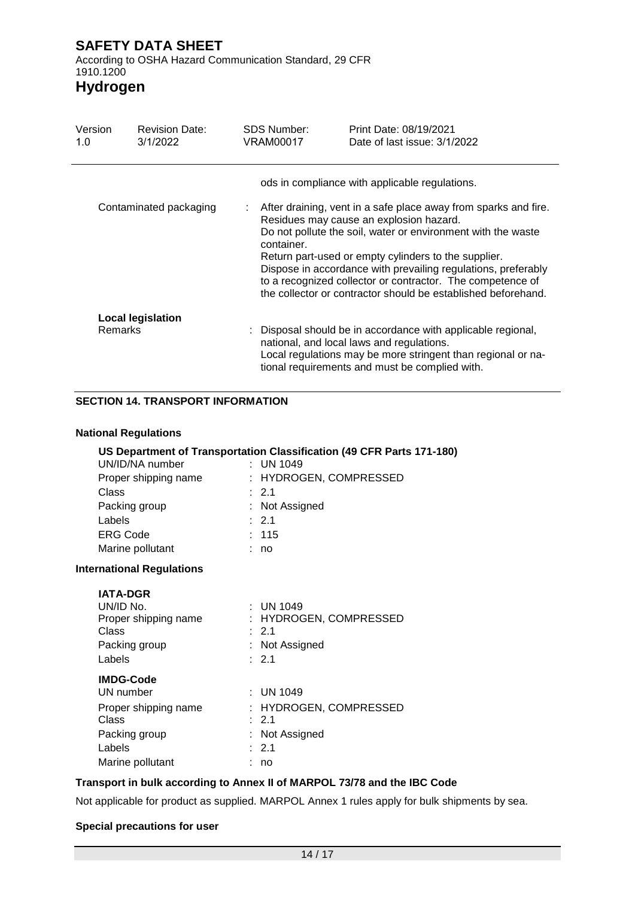# **SAFETY DATA SHEET** According to OSHA Hazard Communication Standard, 29 CFR 1910.1200 **Hydrogen**

| Version<br>1.0         | <b>Revision Date:</b><br>04/01/2022 | <b>SDS Number:</b><br>VRAM00017                                                                                                                                                                                                                                                                                                                                                                                                                       | Print Date: 04/01/2022<br>Date of last issue: 04/01/2022 |  |  |
|------------------------|-------------------------------------|-------------------------------------------------------------------------------------------------------------------------------------------------------------------------------------------------------------------------------------------------------------------------------------------------------------------------------------------------------------------------------------------------------------------------------------------------------|----------------------------------------------------------|--|--|
|                        |                                     |                                                                                                                                                                                                                                                                                                                                                                                                                                                       | ods in compliance with applicable regulations.           |  |  |
| Contaminated packaging |                                     | After draining, vent in a safe place away from sparks and fire.<br>÷<br>Residues may cause an explosion hazard.<br>Do not pollute the soil, water or environment with the waste<br>container.<br>Return part-used or empty cylinders to the supplier.<br>Dispose in accordance with prevailing regulations, preferably<br>to a recognized collector or contractor. The competence of<br>the collector or contractor should be established beforehand. |                                                          |  |  |
|                        | <b>Local legislation</b>            |                                                                                                                                                                                                                                                                                                                                                                                                                                                       |                                                          |  |  |
| <b>Remarks</b>         |                                     | Disposal should be in accordance with applicable regional,<br>national, and local laws and regulations.<br>Local regulations may be more stringent than regional or na-<br>tional requirements and must be complied with.                                                                                                                                                                                                                             |                                                          |  |  |

# **SECTION 14. TRANSPORT INFORMATION**

## **National Regulations**

# **US Department of Transportation Classification (49 CFR Parts 171-180)**

| UN/ID/NA number      | : UN 1049              |
|----------------------|------------------------|
| Proper shipping name | : HYDROGEN, COMPRESSED |
| Class                | $\div$ 2.1             |
| Packing group        | : Not Assigned         |
| Labels               | $\therefore$ 2.1       |
| <b>ERG Code</b>      | : 115                  |
| Marine pollutant     | no                     |

#### **International Regulations**

| $:$ UN 1049            |
|------------------------|
| : HYDROGEN, COMPRESSED |
| $\therefore$ 2.1       |
| : Not Assigned         |
| $\therefore$ 2.1       |
|                        |
| $:$ UN 1049            |
| : HYDROGEN, COMPRESSED |
| $\therefore$ 2.1       |
| : Not Assigned         |
| : 2.1                  |
| no                     |
|                        |

#### **Transport in bulk according to Annex II of MARPOL 73/78 and the IBC Code**

Not applicable for product as supplied. MARPOL Annex 1 rules apply for bulk shipments by sea.

## **Special precautions for user**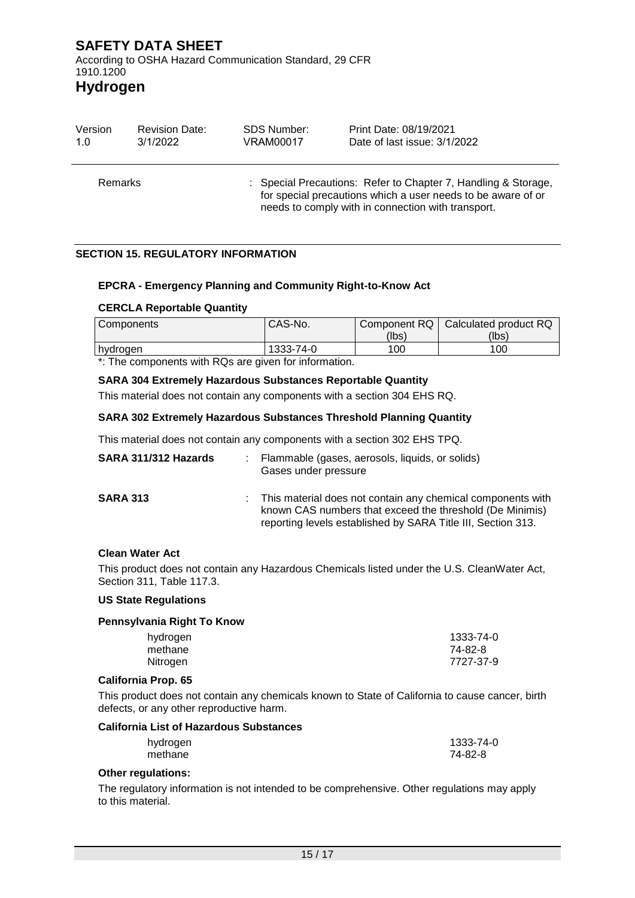**SAFETY DATA SHEET** According to OSHA Hazard Communication Standard, 29 CFR 1910.1200

# **Hydrogen**

| Version        | <b>Revision Date:</b> | SDS Number: | Print Date: 04/01/2022                                                                                                                                                               |
|----------------|-----------------------|-------------|--------------------------------------------------------------------------------------------------------------------------------------------------------------------------------------|
| 1.0            | 04/01/2022            | VRAM00017   | Date of last issue: 04/01/2022                                                                                                                                                       |
| <b>Remarks</b> |                       |             | : Special Precautions: Refer to Chapter 7, Handling & Storage,<br>for special precautions which a user needs to be aware of or<br>needs to comply with in connection with transport. |

# **SECTION 15. REGULATORY INFORMATION**

## **EPCRA - Emergency Planning and Community Right-to-Know Act**

#### **CERCLA Reportable Quantity**

| Components | CAS-No.   |       | Component RQ   Calculated product RQ |
|------------|-----------|-------|--------------------------------------|
|            |           | (lbs) | (lbs)                                |
| hydrogen   | 1333-74-0 | 100   | 100                                  |

\*: The components with RQs are given for information.

#### **SARA 304 Extremely Hazardous Substances Reportable Quantity**

This material does not contain any components with a section 304 EHS RQ.

## **SARA 302 Extremely Hazardous Substances Threshold Planning Quantity**

This material does not contain any components with a section 302 EHS TPQ.

| SARA 311/312 Hazards | : Flammable (gases, aerosols, liquids, or solids)<br>Gases under pressure                                                                                                               |
|----------------------|-----------------------------------------------------------------------------------------------------------------------------------------------------------------------------------------|
| <b>SARA 313</b>      | This material does not contain any chemical components with<br>known CAS numbers that exceed the threshold (De Minimis)<br>reporting levels established by SARA Title III, Section 313. |

#### **Clean Water Act**

This product does not contain any Hazardous Chemicals listed under the U.S. CleanWater Act, Section 311, Table 117.3.

#### **US State Regulations**

| Pennsylvania Right To Know |           |  |  |
|----------------------------|-----------|--|--|
| hydrogen                   | 1333-74-0 |  |  |
| methane                    | 74-82-8   |  |  |
| Nitrogen                   | 7727-37-9 |  |  |

#### **California Prop. 65**

This product does not contain any chemicals known to State of California to cause cancer, birth defects, or any other reproductive harm.

## **California List of Hazardous Substances** hydrogen 1333-74-0 methane 74-82-8

#### **Other regulations:**

The regulatory information is not intended to be comprehensive. Other regulations may apply to this material.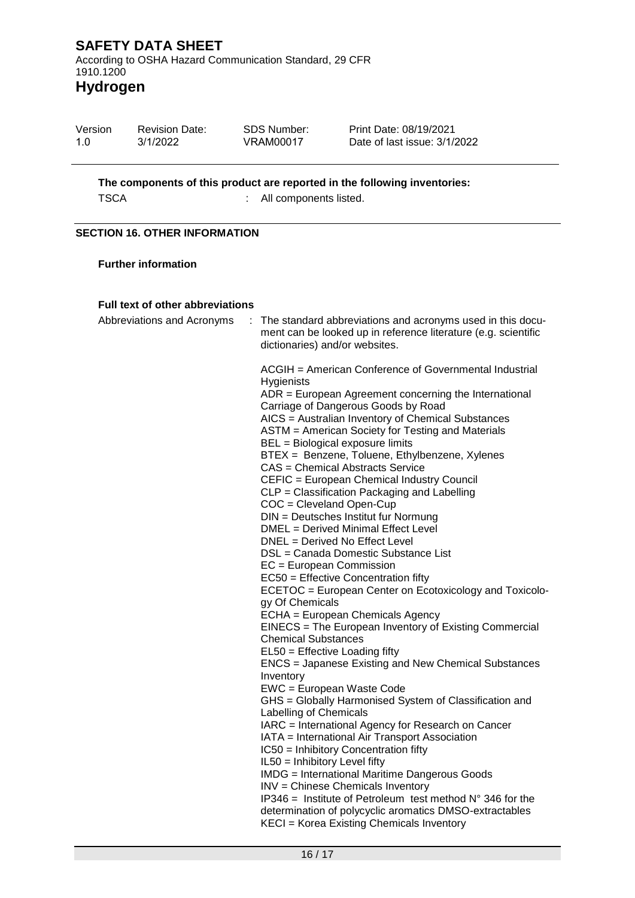Version 1.0 Revision Date: 04/01/2022 SDS Number: VRAM00017 Print Date: 04/01/2022 Date of last issue: 4/01/2022

**The components of this product are reported in the following inventories:** TSCA : All components listed.

# **SECTION 16. OTHER INFORMATION**

## **Further information**

## **Full text of other abbreviations**

| Abbreviations and Acronyms | The standard abbreviations and acronyms used in this docu-                                                                                                                                                                                                                                                                                                                                                                                                                                                                                                                                                                                                                                                                                                                                                                                                                                                                                                                                                                                                                                                                                                                                                                                                                                                                                                                                                                                                                                                 |  |
|----------------------------|------------------------------------------------------------------------------------------------------------------------------------------------------------------------------------------------------------------------------------------------------------------------------------------------------------------------------------------------------------------------------------------------------------------------------------------------------------------------------------------------------------------------------------------------------------------------------------------------------------------------------------------------------------------------------------------------------------------------------------------------------------------------------------------------------------------------------------------------------------------------------------------------------------------------------------------------------------------------------------------------------------------------------------------------------------------------------------------------------------------------------------------------------------------------------------------------------------------------------------------------------------------------------------------------------------------------------------------------------------------------------------------------------------------------------------------------------------------------------------------------------------|--|
|                            | ment can be looked up in reference literature (e.g. scientific<br>dictionaries) and/or websites.<br>ACGIH = American Conference of Governmental Industrial<br>Hygienists<br>ADR = European Agreement concerning the International<br>Carriage of Dangerous Goods by Road<br>AICS = Australian Inventory of Chemical Substances<br>ASTM = American Society for Testing and Materials<br>BEL = Biological exposure limits<br>BTEX = Benzene, Toluene, Ethylbenzene, Xylenes<br><b>CAS</b> = Chemical Abstracts Service<br>CEFIC = European Chemical Industry Council<br>CLP = Classification Packaging and Labelling<br>$COC = Cleveland Open-Cup$<br>DIN = Deutsches Institut fur Normung<br>DMEL = Derived Minimal Effect Level<br>DNEL = Derived No Effect Level<br>DSL = Canada Domestic Substance List<br>$EC = European Commission$<br>EC50 = Effective Concentration fifty<br>ECETOC = European Center on Ecotoxicology and Toxicolo-<br>gy Of Chemicals<br>ECHA = European Chemicals Agency<br>EINECS = The European Inventory of Existing Commercial<br><b>Chemical Substances</b><br>EL50 = Effective Loading fifty<br><b>ENCS</b> = Japanese Existing and New Chemical Substances<br>Inventory<br>EWC = European Waste Code<br>GHS = Globally Harmonised System of Classification and<br>Labelling of Chemicals<br>IARC = International Agency for Research on Cancer<br>IATA = International Air Transport Association<br>IC50 = Inhibitory Concentration fifty<br>IL50 = Inhibitory Level fifty |  |
|                            | <b>IMDG</b> = International Maritime Dangerous Goods<br>INV = Chinese Chemicals Inventory<br>$IP346$ = Institute of Petroleum test method $N^{\circ}$ 346 for the<br>determination of polycyclic aromatics DMSO-extractables<br>KECI = Korea Existing Chemicals Inventory                                                                                                                                                                                                                                                                                                                                                                                                                                                                                                                                                                                                                                                                                                                                                                                                                                                                                                                                                                                                                                                                                                                                                                                                                                  |  |